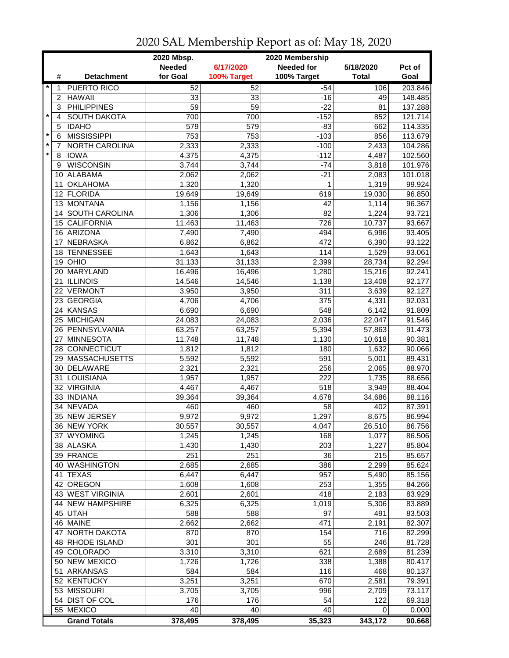|         |                |                      | 2020 Mbsp.    |             | 2020 Membership   |              |                      |
|---------|----------------|----------------------|---------------|-------------|-------------------|--------------|----------------------|
|         |                |                      | <b>Needed</b> | 6/17/2020   | <b>Needed for</b> | 5/18/2020    | Pct of               |
|         | #              | <b>Detachment</b>    | for Goal      | 100% Target | 100% Target       | <b>Total</b> | Goal                 |
| $\star$ | 1              | <b>PUERTO RICO</b>   | 52            | 52          | $-54$             | 106          | 203.846              |
|         | $\overline{c}$ | <b>HAWAII</b>        | 33            | 33          | $-16$             | 49           | 148.485              |
|         | 3              | <b>PHILIPPINES</b>   | 59            | 59          | $-22$             | 81           | 137.288              |
| $\star$ | 4              | <b>SOUTH DAKOTA</b>  | 700           | 700         | $-152$            | 852          | 121.714              |
|         | 5              | <b>IDAHO</b>         | 579           | 579         | $-83$             | 662          | $114.\overline{335}$ |
| $\star$ | 6              | <b>MISSISSIPPI</b>   | 753           | 753         | $-103$            | 856          | 113.679              |
| $\star$ | 7              | NORTH CAROLINA       | 2,333         | 2,333       | $-100$            | 2,433        | 104.286              |
| $\star$ | 8              | <b>IOWA</b>          | 4,375         | 4,375       | $-112$            | 4,487        | 102.560              |
|         | 9              | <b>WISCONSIN</b>     | 3,744         | 3,744       | $-74$             | 3,818        | 101.976              |
|         | 10             | ALABAMA              | 2,062         | 2,062       | $-21$             | 2,083        | 101.018              |
|         | 11             | <b>OKLAHOMA</b>      | 1,320         | 1,320       | 1                 | 1,319        | 99.924               |
|         |                | 12 FLORIDA           | 19,649        | 19,649      | 619               | 19,030       | 96.850               |
|         |                | 13 MONTANA           | 1,156         | 1,156       | 42                | 1,114        | 96.367               |
|         | 14             | SOUTH CAROLINA       | 1,306         | 1,306       | 82                | 1,224        | 93.721               |
|         |                | 15 CALIFORNIA        | 11,463        | 11,463      | 726               | 10,737       | 93.667               |
|         |                | 16 ARIZONA           | 7,490         | 7,490       | 494               | 6,996        | 93.405               |
|         | 17             | <b>NEBRASKA</b>      | 6,862         | 6,862       | 472               | 6,390        | 93.122               |
|         | 18             | <b>TENNESSEE</b>     | 1,643         | 1,643       | 114               | 1,529        | 93.061               |
|         | 19             | <b>OHIO</b>          | 31,133        | 31,133      | 2,399             | 28,734       | 92.294               |
|         | 20             | MARYLAND             | 16,496        | 16,496      | 1,280             | 15,216       | 92.241               |
|         | 21             | <b>ILLINOIS</b>      | 14,546        | 14,546      | 1,138             | 13,408       | 92.177               |
|         | 22             | <b>VERMONT</b>       | 3,950         | 3,950       | 311               | 3,639        | 92.127               |
|         |                | 23 GEORGIA           | 4,706         | 4,706       | $\overline{375}$  | 4,331        | 92.031               |
|         |                | 24 KANSAS            | 6,690         | 6,690       | 548               | 6,142        | 91.809               |
|         |                | 25 MICHIGAN          | 24,083        | 24,083      | 2,036             | 22,047       | 91.546               |
|         |                | 26 PENNSYLVANIA      | 63,257        | 63,257      | 5,394             | 57,863       | 91.473               |
|         | 27             | MINNESOTA            | 11,748        | 11,748      | 1,130             | 10,618       | 90.381               |
|         |                | 28 CONNECTICUT       | 1,812         | 1,812       | 180               | 1,632        | 90.066               |
|         | 29             | <b>MASSACHUSETTS</b> | 5,592         | 5,592       | 591               | 5,001        | 89.431               |
|         | 30             | <b>DELAWARE</b>      | 2,321         | 2,321       | 256               | 2,065        | 88.970               |
|         | 31             | LOUISIANA            | 1,957         | 1,957       | 222               | 1,735        | 88.656               |
|         | 32             | <b>VIRGINIA</b>      | 4,467         | 4,467       | 518               | 3,949        | 88.404               |
|         |                | 33 INDIANA           | 39,364        | 39,364      | 4,678             | 34,686       | 88.116               |
|         | 34             | <b>NEVADA</b>        | 460           | 460         | 58                | 402          | 87.391               |
|         |                | 35 NEW JERSEY        | 9,972         | 9,972       | 1,297             | 8,675        | 86.994               |
|         |                | 36 NEW YORK          | 30,557        | 30,557      | 4,047             | 26,510       | 86.756               |
|         |                | 37 WYOMING           | 1,245         | 1,245       | 168               | 1,077        | 86.506               |
|         |                | 38 ALASKA            | 1,430         | 1,430       | 203               | 1,227        | 85.804               |
|         |                | 39 FRANCE            | 251           | 251         | 36                | 215          | 85.657               |
|         |                | 40 WASHINGTON        | 2,685         | 2,685       | 386               | 2,299        | 85.624               |
|         |                | 41 TEXAS             | 6,447         | 6,447       | 957               | 5,490        | 85.156               |
|         |                | 42 OREGON            | 1,608         | 1,608       | 253               | 1,355        | 84.266               |
|         |                | 43 WEST VIRGINIA     | 2,601         | 2,601       | 418               | 2,183        | 83.929               |
|         |                | 44 NEW HAMPSHIRE     | 6,325         | 6,325       | 1,019             | 5,306        | 83.889               |
|         |                | 45 UTAH              | 588           | 588         | 97                | 491          | 83.503               |
|         |                | 46 MAINE             | 2,662         | 2,662       | 471               | 2,191        | 82.307               |
|         | 47             | NORTH DAKOTA         | 870           | 870         | 154               | 716          | 82.299               |
|         |                | 48 RHODE ISLAND      | 301           | 301         | 55                | 246          | 81.728               |
|         |                | 49 COLORADO          | 3,310         | 3,310       | 621               | 2,689        | 81.239               |
|         |                | 50 NEW MEXICO        | 1,726         | 1,726       | 338               | 1,388        | 80.417               |
|         |                | 51 ARKANSAS          | 584           | 584         | 116               | 468          | 80.137               |
|         |                | 52 KENTUCKY          | 3,251         | 3,251       | 670               | 2,581        | 79.391               |
|         |                | 53 MISSOURI          | 3,705         | 3,705       | 996               | 2,709        | 73.117               |
|         |                | 54 DIST OF COL       | 176<br>40     | 176<br>40   | 54<br>40          | 122          | 69.318               |
|         |                | 55 MEXICO            |               |             |                   | 0            | 0.000                |
|         |                | <b>Grand Totals</b>  | 378,495       | 378,495     | 35,323            | 343,172      | 90.668               |

## 2020 SAL Membership Report as of: May 18, 2020